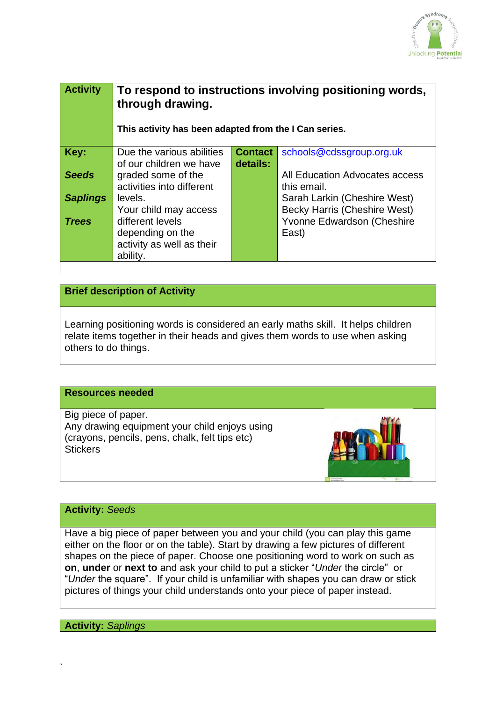

| <b>Activity</b> | To respond to instructions involving positioning words,<br>through drawing.<br>This activity has been adapted from the I Can series. |                            |                                                                     |
|-----------------|--------------------------------------------------------------------------------------------------------------------------------------|----------------------------|---------------------------------------------------------------------|
| Key:            | Due the various abilities<br>of our children we have                                                                                 | <b>Contact</b><br>details: | schools@cdssgroup.org.uk                                            |
| <b>Seeds</b>    | graded some of the<br>activities into different                                                                                      |                            | All Education Advocates access<br>this email.                       |
| <b>Saplings</b> | levels.<br>Your child may access                                                                                                     |                            | Sarah Larkin (Cheshire West)<br><b>Becky Harris (Cheshire West)</b> |
| <b>Trees</b>    | different levels<br>depending on the<br>activity as well as their<br>ability.                                                        |                            | Yvonne Edwardson (Cheshire<br>East)                                 |

# **Brief description of Activity**

Learning positioning words is considered an early maths skill. It helps children relate items together in their heads and gives them words to use when asking others to do things.

### **Resources needed**

Big piece of paper. Any drawing equipment your child enjoys using (crayons, pencils, pens, chalk, felt tips etc) **Stickers** 



### **Activity:** *Seeds*

Have a big piece of paper between you and your child (you can play this game either on the floor or on the table). Start by drawing a few pictures of different shapes on the piece of paper. Choose one positioning word to work on such as **on**, **under** or **next to** and ask your child to put a sticker "*Under* the circle" or "*Under* the square". If your child is unfamiliar with shapes you can draw or stick pictures of things your child understands onto your piece of paper instead.

**Activity:** *Saplings* 

`